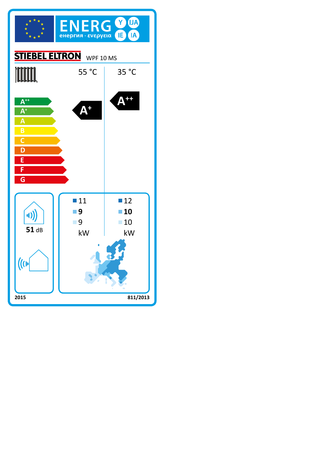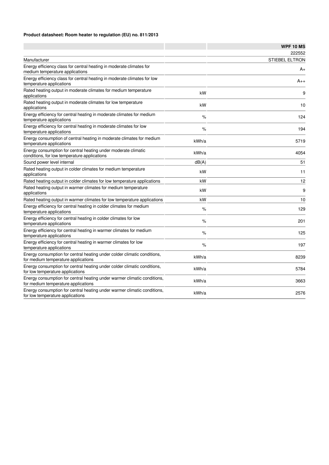## **Product datasheet: Room heater to regulation (EU) no. 811/2013**

|                                                                                                                 |       | <b>WPF 10 MS</b>      |
|-----------------------------------------------------------------------------------------------------------------|-------|-----------------------|
|                                                                                                                 |       | 222552                |
| Manufacturer                                                                                                    |       | <b>STIEBEL ELTRON</b> |
| Energy efficiency class for central heating in moderate climates for<br>medium temperature applications         |       | A+                    |
| Energy efficiency class for central heating in moderate climates for low<br>temperature applications            |       | $A_{++}$              |
| Rated heating output in moderate climates for medium temperature<br>applications                                | kW    | 9                     |
| Rated heating output in moderate climates for low temperature<br>applications                                   | kW    | 10                    |
| Energy efficiency for central heating in moderate climates for medium<br>temperature applications               | %     | 124                   |
| Energy efficiency for central heating in moderate climates for low<br>temperature applications                  | %     | 194                   |
| Energy consumption of central heating in moderate climates for medium<br>temperature applications               | kWh/a | 5719                  |
| Energy consumption for central heating under moderate climatic<br>conditions, for low temperature applications  | kWh/a | 4054                  |
| Sound power level internal                                                                                      | dB(A) | 51                    |
| Rated heating output in colder climates for medium temperature<br>applications                                  | kW    | 11                    |
| Rated heating output in colder climates for low temperature applications                                        | kW    | 12                    |
| Rated heating output in warmer climates for medium temperature<br>applications                                  | kW    | 9                     |
| Rated heating output in warmer climates for low temperature applications                                        | kW    | 10                    |
| Energy efficiency for central heating in colder climates for medium<br>temperature applications                 | $\%$  | 129                   |
| Energy efficiency for central heating in colder climates for low<br>temperature applications                    | $\%$  | 201                   |
| Energy efficiency for central heating in warmer climates for medium<br>temperature applications                 | $\%$  | 125                   |
| Energy efficiency for central heating in warmer climates for low<br>temperature applications                    | %     | 197                   |
| Energy consumption for central heating under colder climatic conditions,<br>for medium temperature applications | kWh/a | 8239                  |
| Energy consumption for central heating under colder climatic conditions,<br>for low temperature applications    | kWh/a | 5784                  |
| Energy consumption for central heating under warmer climatic conditions,<br>for medium temperature applications | kWh/a | 3663                  |
| Energy consumption for central heating under warmer climatic conditions,<br>for low temperature applications    | kWh/a | 2576                  |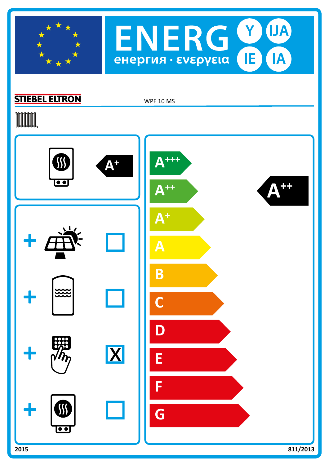



## **STIEBEL ELTRON**

WPF 10 MS

# **TOOTAL**

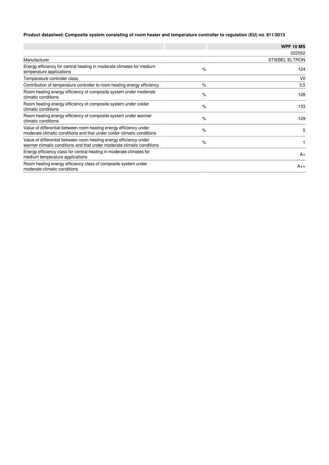## **Product datasheet: Composite system consisting of room heater and temperature controller to regulation (EU) no. 811/2013**

|                                                                                                                                              |      | <b>WPF 10 MS</b>      |
|----------------------------------------------------------------------------------------------------------------------------------------------|------|-----------------------|
|                                                                                                                                              |      | 222552                |
| Manufacturer                                                                                                                                 |      | <b>STIEBEL ELTRON</b> |
| Energy efficiency for central heating in moderate climates for medium<br>temperature applications                                            | $\%$ | 124                   |
| Temperature controller class                                                                                                                 |      | VII                   |
| Contribution of temperature controller to room heating energy efficiency                                                                     | $\%$ | 3,5                   |
| Room heating energy efficiency of composite system under moderate<br>climatic conditions                                                     | $\%$ | 128                   |
| Room heating energy efficiency of composite system under colder<br>climatic conditions                                                       | $\%$ | 133                   |
| Room heating energy efficiency of composite system under warmer<br>climatic conditions                                                       | $\%$ | 129                   |
| Value of differential between room heating energy efficiency under<br>moderate climatic conditions and that under colder climatic conditions | $\%$ | 5                     |
| Value of differential between room heating energy efficiency under<br>warmer climatic conditions and that under moderate climatic conditions | $\%$ |                       |
| Energy efficiency class for central heating in moderate climates for<br>medium temperature applications                                      |      | $A_{+}$               |
| Room heating energy efficiency class of composite system under<br>moderate climatic conditions                                               |      | $A_{++}$              |